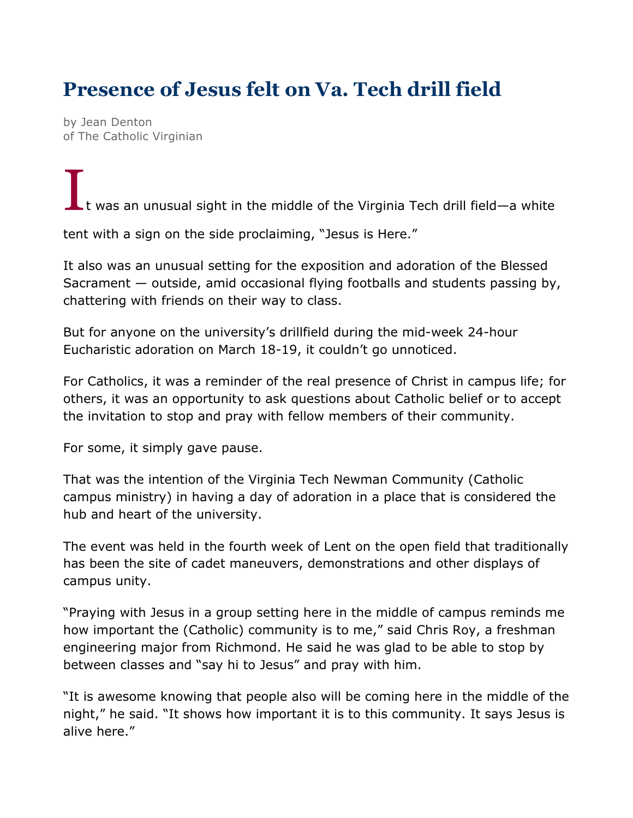## **Presence of Jesus felt on Va. Tech drill field**

by Jean Denton of The Catholic Virginian

It was an unusual sight in the middle of the Virginia Tech drill field—a white

tent with a sign on the side proclaiming, "Jesus is Here."

It also was an unusual setting for the exposition and adoration of the Blessed Sacrament — outside, amid occasional flying footballs and students passing by, chattering with friends on their way to class.

But for anyone on the university's drillfield during the mid-week 24-hour Eucharistic adoration on March 18-19, it couldn't go unnoticed.

For Catholics, it was a reminder of the real presence of Christ in campus life; for others, it was an opportunity to ask questions about Catholic belief or to accept the invitation to stop and pray with fellow members of their community.

For some, it simply gave pause.

That was the intention of the Virginia Tech Newman Community (Catholic campus ministry) in having a day of adoration in a place that is considered the hub and heart of the university.

The event was held in the fourth week of Lent on the open field that traditionally has been the site of cadet maneuvers, demonstrations and other displays of campus unity.

"Praying with Jesus in a group setting here in the middle of campus reminds me how important the (Catholic) community is to me," said Chris Roy, a freshman engineering major from Richmond. He said he was glad to be able to stop by between classes and "say hi to Jesus" and pray with him.

"It is awesome knowing that people also will be coming here in the middle of the night," he said. "It shows how important it is to this community. It says Jesus is alive here."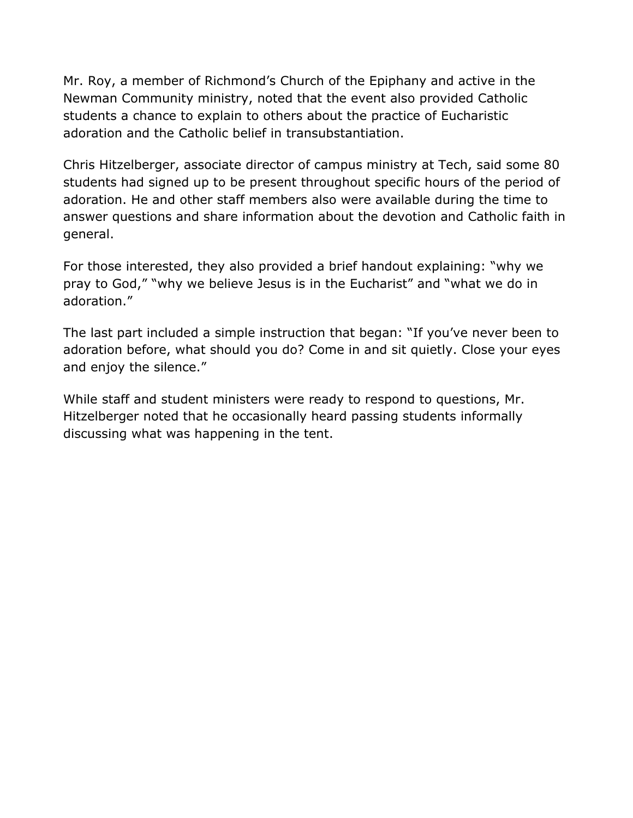Mr. Roy, a member of Richmond's Church of the Epiphany and active in the Newman Community ministry, noted that the event also provided Catholic students a chance to explain to others about the practice of Eucharistic adoration and the Catholic belief in transubstantiation.

Chris Hitzelberger, associate director of campus ministry at Tech, said some 80 students had signed up to be present throughout specific hours of the period of adoration. He and other staff members also were available during the time to answer questions and share information about the devotion and Catholic faith in general.

For those interested, they also provided a brief handout explaining: "why we pray to God," "why we believe Jesus is in the Eucharist" and "what we do in adoration."

The last part included a simple instruction that began: "If you've never been to adoration before, what should you do? Come in and sit quietly. Close your eyes and enjoy the silence."

While staff and student ministers were ready to respond to questions, Mr. Hitzelberger noted that he occasionally heard passing students informally discussing what was happening in the tent.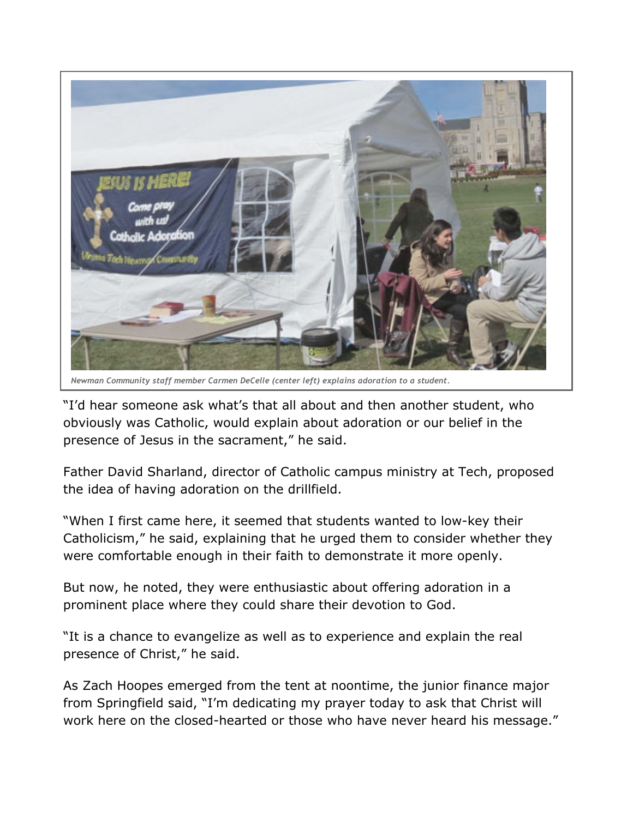

*Newman Community staff member Carmen DeCelle (center left) explains adoration to a student.*

"I'd hear someone ask what's that all about and then another student, who obviously was Catholic, would explain about adoration or our belief in the presence of Jesus in the sacrament," he said.

Father David Sharland, director of Catholic campus ministry at Tech, proposed the idea of having adoration on the drillfield.

"When I first came here, it seemed that students wanted to low-key their Catholicism," he said, explaining that he urged them to consider whether they were comfortable enough in their faith to demonstrate it more openly.

But now, he noted, they were enthusiastic about offering adoration in a prominent place where they could share their devotion to God.

"It is a chance to evangelize as well as to experience and explain the real presence of Christ," he said.

As Zach Hoopes emerged from the tent at noontime, the junior finance major from Springfield said, "I'm dedicating my prayer today to ask that Christ will work here on the closed-hearted or those who have never heard his message."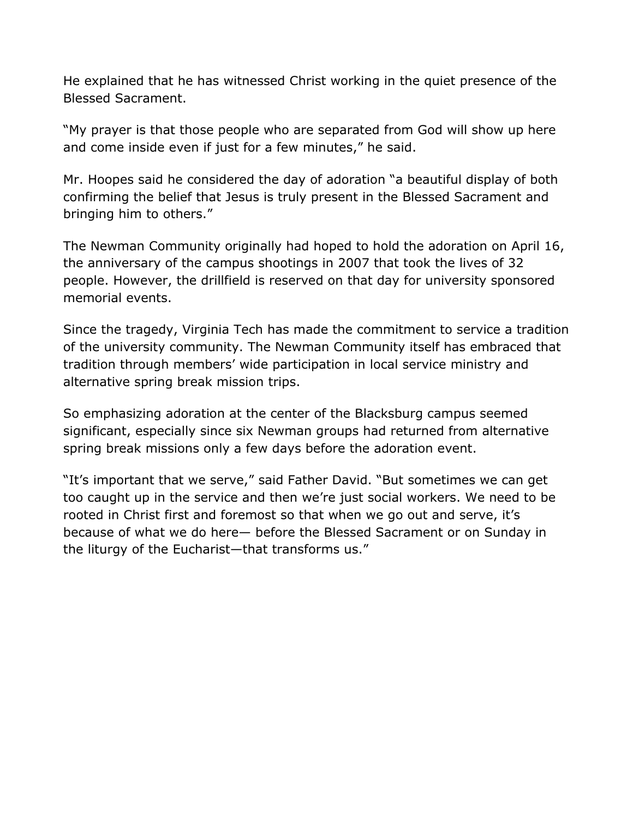He explained that he has witnessed Christ working in the quiet presence of the Blessed Sacrament.

"My prayer is that those people who are separated from God will show up here and come inside even if just for a few minutes," he said.

Mr. Hoopes said he considered the day of adoration "a beautiful display of both confirming the belief that Jesus is truly present in the Blessed Sacrament and bringing him to others."

The Newman Community originally had hoped to hold the adoration on April 16, the anniversary of the campus shootings in 2007 that took the lives of 32 people. However, the drillfield is reserved on that day for university sponsored memorial events.

Since the tragedy, Virginia Tech has made the commitment to service a tradition of the university community. The Newman Community itself has embraced that tradition through members' wide participation in local service ministry and alternative spring break mission trips.

So emphasizing adoration at the center of the Blacksburg campus seemed significant, especially since six Newman groups had returned from alternative spring break missions only a few days before the adoration event.

"It's important that we serve," said Father David. "But sometimes we can get too caught up in the service and then we're just social workers. We need to be rooted in Christ first and foremost so that when we go out and serve, it's because of what we do here— before the Blessed Sacrament or on Sunday in the liturgy of the Eucharist—that transforms us."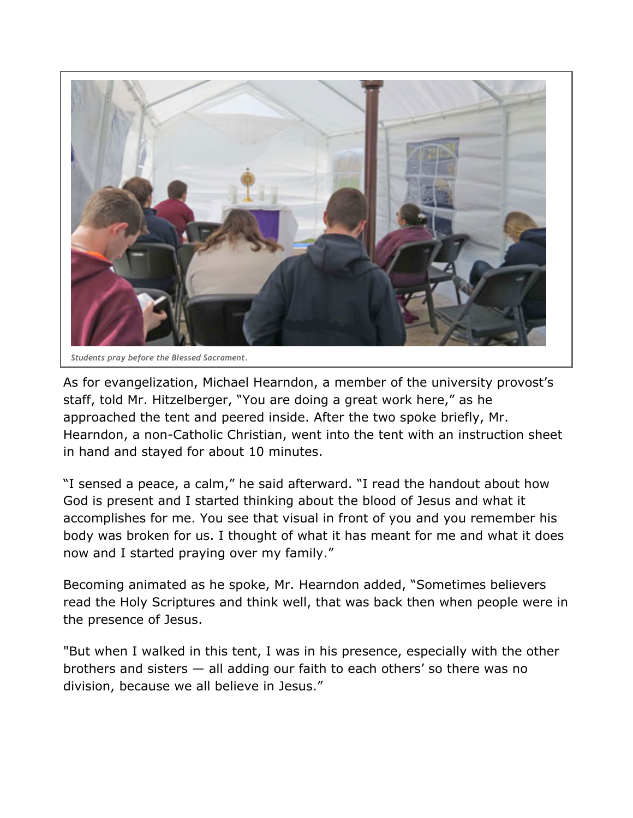

As for evangelization, Michael Hearndon, a member of the university provost's staff, told Mr. Hitzelberger, "You are doing a great work here," as he approached the tent and peered inside. After the two spoke briefly, Mr. Hearndon, a non-Catholic Christian, went into the tent with an instruction sheet in hand and stayed for about 10 minutes.

"I sensed a peace, a calm," he said afterward. "I read the handout about how God is present and I started thinking about the blood of Jesus and what it accomplishes for me. You see that visual in front of you and you remember his body was broken for us. I thought of what it has meant for me and what it does now and I started praying over my family."

Becoming animated as he spoke, Mr. Hearndon added, "Sometimes believers read the Holy Scriptures and think well, that was back then when people were in the presence of Jesus.

"But when I walked in this tent, I was in his presence, especially with the other brothers and sisters — all adding our faith to each others' so there was no division, because we all believe in Jesus."